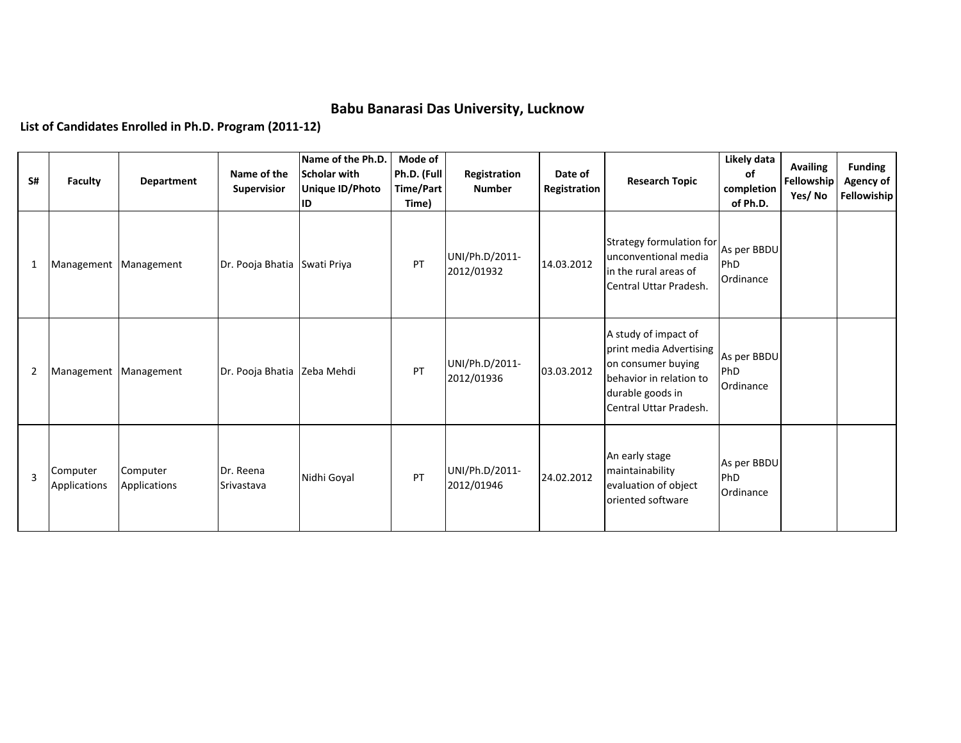## **Babu Banarasi Das University, Lucknow**

**List of Candidates Enrolled in Ph.D. Program (2011-12)**

| S#             | Faculty                  | Department               | Name of the<br><b>Supervisior</b> | Name of the Ph.D.<br>Scholar with<br>Unique ID/Photo<br>ID | Mode of<br>Ph.D. (Full<br>Time/Part<br>Time) | Registration<br><b>Number</b> | Date of<br>Registration | <b>Research Topic</b>                                                                                                                          | Likely data<br>of<br>completion<br>of Ph.D. | <b>Availing</b><br>Fellowship<br>Yes/No | <b>Funding</b><br>Agency of<br><b>Fellowiship</b> |
|----------------|--------------------------|--------------------------|-----------------------------------|------------------------------------------------------------|----------------------------------------------|-------------------------------|-------------------------|------------------------------------------------------------------------------------------------------------------------------------------------|---------------------------------------------|-----------------------------------------|---------------------------------------------------|
| 1              | Management   Management  |                          | Dr. Pooja Bhatia Swati Priya      |                                                            | PT                                           | UNI/Ph.D/2011-<br>2012/01932  | 14.03.2012              | Strategy formulation for As per BBDU<br>unconventional media<br>in the rural areas of<br>Central Uttar Pradesh.                                | <b>PhD</b><br>Ordinance                     |                                         |                                                   |
| $\overline{2}$ | Management   Management  |                          | Dr. Pooja Bhatia Zeba Mehdi       |                                                            | PT                                           | UNI/Ph.D/2011-<br>2012/01936  | 03.03.2012              | A study of impact of<br>print media Advertising<br>on consumer buying<br>behavior in relation to<br>durable goods in<br>Central Uttar Pradesh. | As per BBDU<br>PhD<br>Ordinance             |                                         |                                                   |
| $\overline{3}$ | Computer<br>Applications | Computer<br>Applications | Dr. Reena<br>Srivastava           | Nidhi Goyal                                                | PT                                           | UNI/Ph.D/2011-<br>2012/01946  | 24.02.2012              | An early stage<br>maintainability<br>evaluation of object<br>oriented software                                                                 | As per BBDU<br>PhD<br>Ordinance             |                                         |                                                   |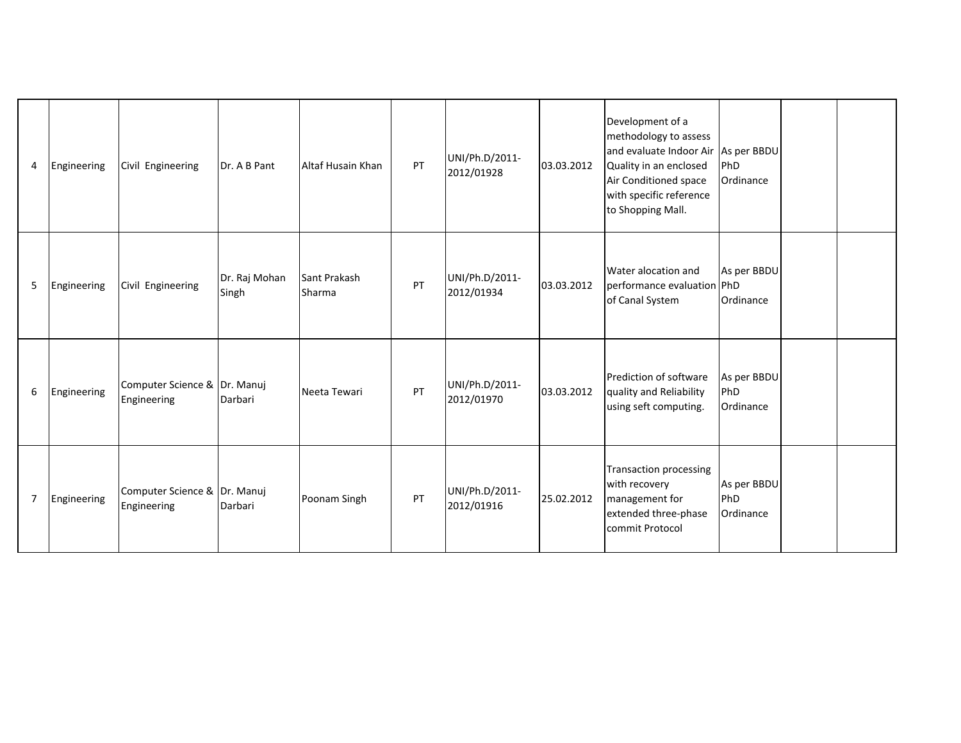| 4              | Engineering | Civil Engineering                           | Dr. A B Pant           | Altaf Husain Khan      | PT | UNI/Ph.D/2011-<br>2012/01928 | 03.03.2012 | Development of a<br>methodology to assess<br>and evaluate Indoor Air As per BBDU<br>Quality in an enclosed<br>Air Conditioned space<br>with specific reference<br>to Shopping Mall. | PhD<br>Ordinance                |  |
|----------------|-------------|---------------------------------------------|------------------------|------------------------|----|------------------------------|------------|-------------------------------------------------------------------------------------------------------------------------------------------------------------------------------------|---------------------------------|--|
| 5              | Engineering | Civil Engineering                           | Dr. Raj Mohan<br>Singh | Sant Prakash<br>Sharma | PT | UNI/Ph.D/2011-<br>2012/01934 | 03.03.2012 | Water alocation and<br>performance evaluation PhD<br>of Canal System                                                                                                                | As per BBDU<br>Ordinance        |  |
| 6              | Engineering | Computer Science & Dr. Manuj<br>Engineering | Darbari                | Neeta Tewari           | PT | UNI/Ph.D/2011-<br>2012/01970 | 03.03.2012 | Prediction of software<br>quality and Reliability<br>using seft computing.                                                                                                          | As per BBDU<br>PhD<br>Ordinance |  |
| $\overline{7}$ | Engineering | Computer Science & Dr. Manuj<br>Engineering | Darbari                | Poonam Singh           | PT | UNI/Ph.D/2011-<br>2012/01916 | 25.02.2012 | <b>Transaction processing</b><br>with recovery<br>management for<br>extended three-phase<br>commit Protocol                                                                         | As per BBDU<br>PhD<br>Ordinance |  |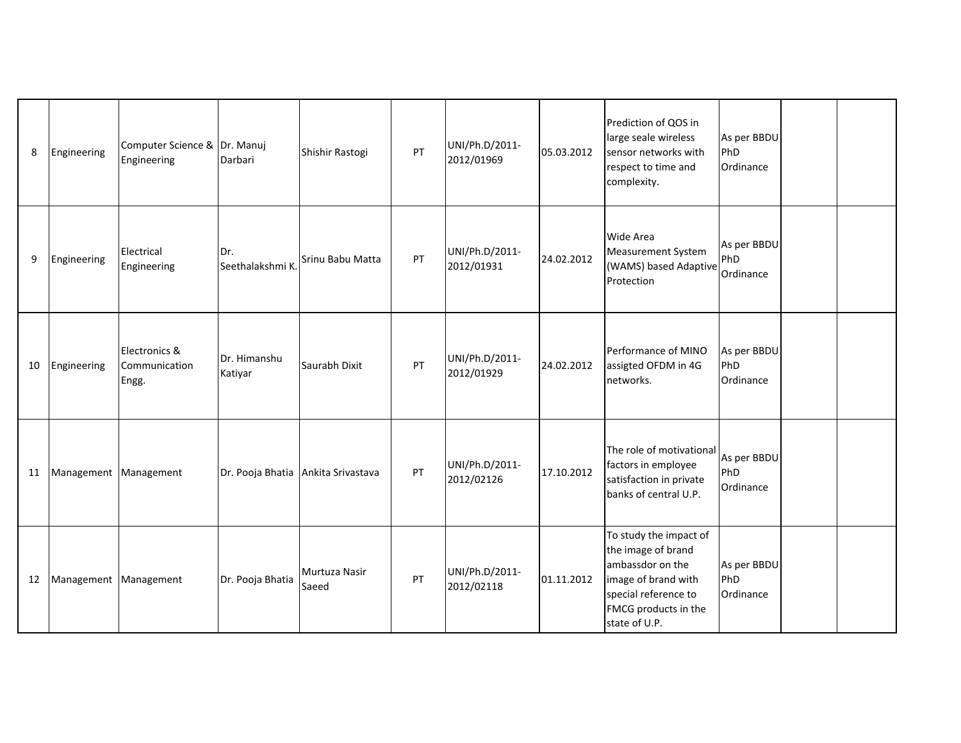| 8  | Engineering             | Computer Science & Dr. Manuj<br>Engineering | Darbari                            | Shishir Rastogi        | PT | UNI/Ph.D/2011-<br>2012/01969 | 05.03.2012 | Prediction of QOS in<br>large seale wireless<br>sensor networks with<br>respect to time and<br>complexity.                                               | As per BBDU<br>PhD<br>Ordinance |  |
|----|-------------------------|---------------------------------------------|------------------------------------|------------------------|----|------------------------------|------------|----------------------------------------------------------------------------------------------------------------------------------------------------------|---------------------------------|--|
| 9  | Engineering             | Electrical<br>Engineering                   | Dr.<br>Seethalakshmi K             | Srinu Babu Matta       | PT | UNI/Ph.D/2011-<br>2012/01931 | 24.02.2012 | Wide Area<br>Measurement System<br>(WAMS) based Adaptive<br>Protection                                                                                   | As per BBDU<br>PhD<br>Ordinance |  |
| 10 | Engineering             | Electronics &<br>Communication<br>Engg.     | Dr. Himanshu<br>Katiyar            | Saurabh Dixit          | PT | UNI/Ph.D/2011-<br>2012/01929 | 24.02.2012 | Performance of MINO<br>assigted OFDM in 4G<br>networks.                                                                                                  | As per BBDU<br>PhD<br>Ordinance |  |
| 11 | Management   Management |                                             | Dr. Pooja Bhatia Ankita Srivastava |                        | PT | UNI/Ph.D/2011-<br>2012/02126 | 17.10.2012 | The role of motivational<br>factors in employee<br>satisfaction in private<br>banks of central U.P.                                                      | As per BBDU<br>PhD<br>Ordinance |  |
| 12 | Management Management   |                                             | Dr. Pooja Bhatia                   | Murtuza Nasir<br>Saeed | PT | UNI/Ph.D/2011-<br>2012/02118 | 01.11.2012 | To study the impact of<br>the image of brand<br>ambassdor on the<br>image of brand with<br>special reference to<br>FMCG products in the<br>state of U.P. | As per BBDU<br>PhD<br>Ordinance |  |